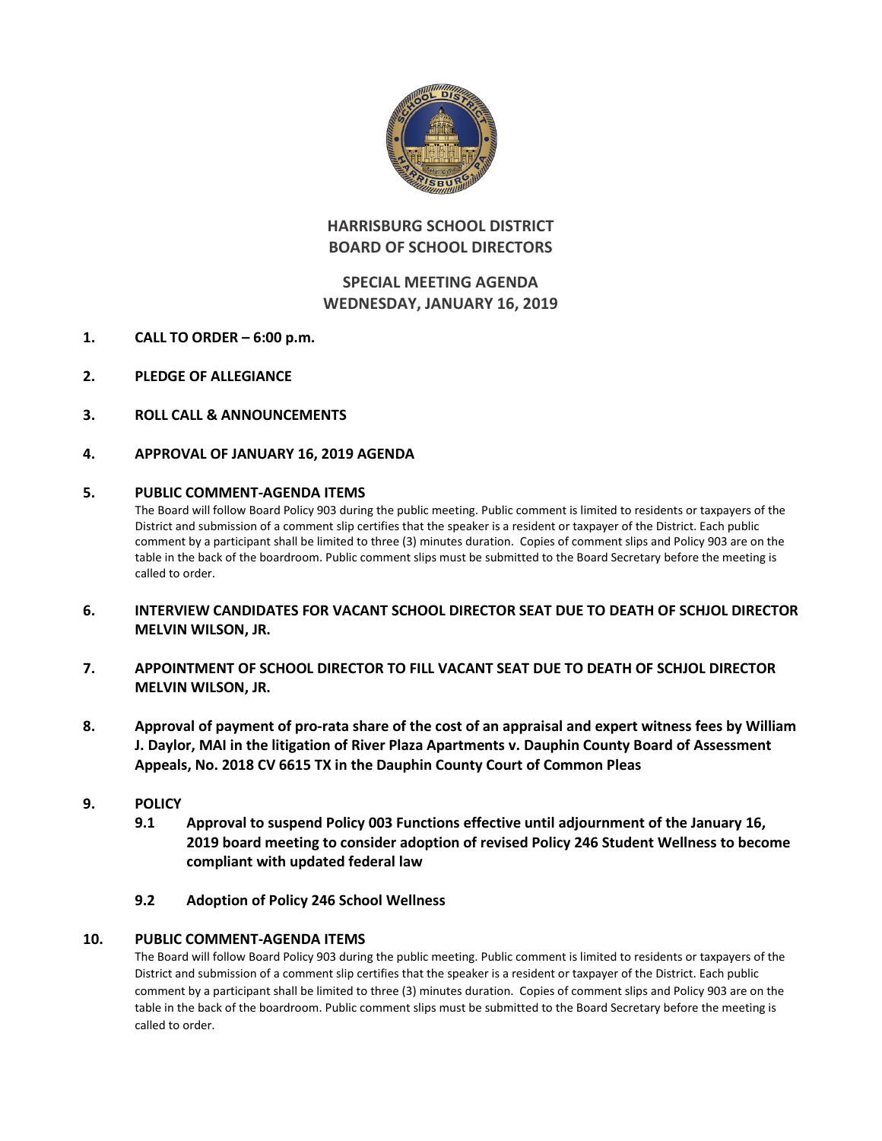

# **HARRISBURG SCHOOL DISTRICT BOARD OF SCHOOL DIRECTORS**

# **SPECIAL MEETING AGENDA WEDNESDAY, JANUARY 16, 2019**

- **1. CALL TO ORDER – 6:00 p.m.**
- **2. PLEDGE OF ALLEGIANCE**
- **3. ROLL CALL & ANNOUNCEMENTS**
- **4. APPROVAL OF JANUARY 16, 2019 AGENDA**

### **5. PUBLIC COMMENT-AGENDA ITEMS**

The Board will follow Board Policy 903 during the public meeting. Public comment is limited to residents or taxpayers of the District and submission of a comment slip certifies that the speaker is a resident or taxpayer of the District. Each public comment by a participant shall be limited to three (3) minutes duration. Copies of comment slips and Policy 903 are on the table in the back of the boardroom. Public comment slips must be submitted to the Board Secretary before the meeting is called to order.

- **6. INTERVIEW CANDIDATES FOR VACANT SCHOOL DIRECTOR SEAT DUE TO DEATH OF SCHJOL DIRECTOR MELVIN WILSON, JR.**
- **7. APPOINTMENT OF SCHOOL DIRECTOR TO FILL VACANT SEAT DUE TO DEATH OF SCHJOL DIRECTOR MELVIN WILSON, JR.**
- **8. Approval of payment of pro-rata share of the cost of an appraisal and expert witness fees by William J. Daylor, MAI in the litigation of River Plaza Apartments v. Dauphin County Board of Assessment Appeals, No. 2018 CV 6615 TX in the Dauphin County Court of Common Pleas**
- **9. POLICY**
	- **9.1 Approval to suspend Policy 003 Functions effective until adjournment of the January 16, 2019 board meeting to consider adoption of revised Policy 246 Student Wellness to become compliant with updated federal law**
	- **9.2 Adoption of Policy 246 School Wellness**

## **10. PUBLIC COMMENT-AGENDA ITEMS**

The Board will follow Board Policy 903 during the public meeting. Public comment is limited to residents or taxpayers of the District and submission of a comment slip certifies that the speaker is a resident or taxpayer of the District. Each public comment by a participant shall be limited to three (3) minutes duration. Copies of comment slips and Policy 903 are on the table in the back of the boardroom. Public comment slips must be submitted to the Board Secretary before the meeting is called to order.